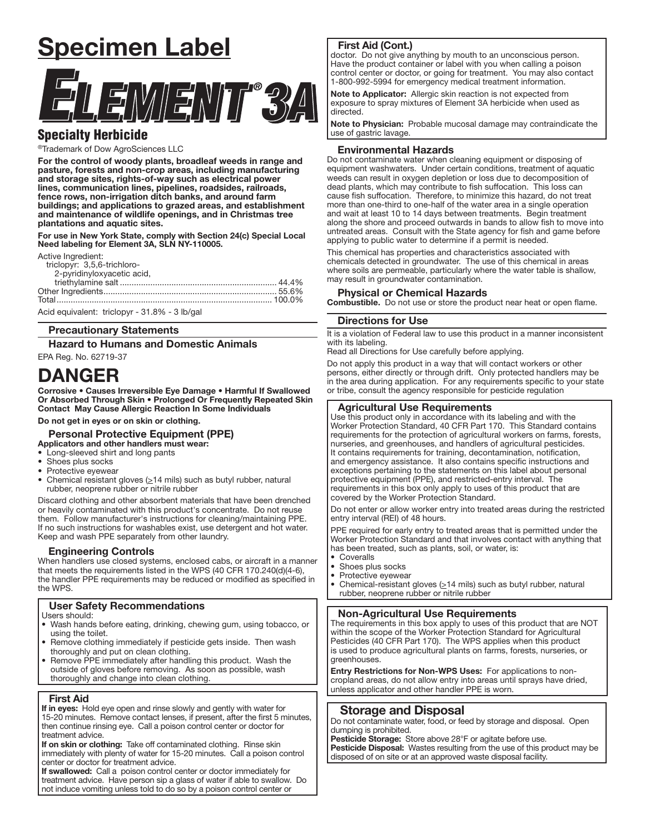# Specimen Label



# Specialty Herbicide

®Trademark of Dow AgroSciences LLC

For the control of woody plants, broadleaf weeds in range and pasture, forests and non-crop areas, including manufacturing and storage sites, rights-of-way such as electrical power lines, communication lines, pipelines, roadsides, railroads, fence rows, non-irrigation ditch banks, and around farm buildings; and applications to grazed areas, and establishment and maintenance of wildlife openings, and in Christmas tree plantations and aquatic sites.

For use in New York State, comply with Section 24(c) Special Local Need labeling for Element 3A, SLN NY-110005.

Active Ingredient:

| triclopyr: 3,5,6-trichloro-                   |  |
|-----------------------------------------------|--|
| 2-pyridinyloxyacetic acid,                    |  |
|                                               |  |
|                                               |  |
|                                               |  |
| Acid equivalent: triclopyr - 31.8% - 3 lb/gal |  |

Precautionary Statements

Hazard to Humans and Domestic Animals

EPA Reg. No. 62719-37

# DANGER

Corrosive • Causes Irreversible Eye Damage • Harmful If Swallowed Or Absorbed Through Skin • Prolonged Or Frequently Repeated Skin Contact May Cause Allergic Reaction In Some Individuals

Do not get in eyes or on skin or clothing.

## Personal Protective Equipment (PPE)

- Applicators and other handlers must wear:
- Long-sleeved shirt and long pants
- Shoes plus socks
- Protective eyewear
- Chemical resistant gloves  $( \geq 14 \text{ miles})$  such as butyl rubber, natural rubber, neoprene rubber or nitrile rubber

Discard clothing and other absorbent materials that have been drenched or heavily contaminated with this product's concentrate. Do not reuse them. Follow manufacturer's instructions for cleaning/maintaining PPE. If no such instructions for washables exist, use detergent and hot water. Keep and wash PPE separately from other laundry.

## Engineering Controls

When handlers use closed systems, enclosed cabs, or aircraft in a manner that meets the requirements listed in the WPS (40 CFR 170.240(d)(4-6), the handler PPE requirements may be reduced or modified as specified in the WPS.

## User Safety Recommendations

Users should:

- Wash hands before eating, drinking, chewing gum, using tobacco, or using the toilet.
- Remove clothing immediately if pesticide gets inside. Then wash thoroughly and put on clean clothing.
- Remove PPE immediately after handling this product. Wash the outside of gloves before removing. As soon as possible, wash thoroughly and change into clean clothing.

## First Aid

ļ

If in eyes: Hold eye open and rinse slowly and gently with water for 15-20 minutes. Remove contact lenses, if present, after the first 5 minutes, then continue rinsing eye. Call a poison control center or doctor for treatment advice.

If on skin or clothing: Take off contaminated clothing. Rinse skin immediately with plenty of water for 15-20 minutes. Call a poison control center or doctor for treatment advice.

If swallowed: Call a poison control center or doctor immediately for treatment advice. Have person sip a glass of water if able to swallow. Do not induce vomiting unless told to do so by a poison control center or

## First Aid (Cont.)

ļ

doctor. Do not give anything by mouth to an unconscious person. Have the product container or label with you when calling a poison control center or doctor, or going for treatment. You may also contact 1-800-992-5994 for emergency medical treatment information.

Note to Applicator: Allergic skin reaction is not expected from exposure to spray mixtures of Element 3A herbicide when used as directed.

Note to Physician: Probable mucosal damage may contraindicate the use of gastric lavage.

## Environmental Hazards

Do not contaminate water when cleaning equipment or disposing of equipment washwaters. Under certain conditions, treatment of aquatic weeds can result in oxygen depletion or loss due to decomposition of dead plants, which may contribute to fish suffocation. This loss can cause fish suffocation. Therefore, to minimize this hazard, do not treat more than one-third to one-half of the water area in a single operation and wait at least 10 to 14 days between treatments. Begin treatment along the shore and proceed outwards in bands to allow fish to move into untreated areas. Consult with the State agency for fish and game before applying to public water to determine if a permit is needed.

This chemical has properties and characteristics associated with chemicals detected in groundwater. The use of this chemical in areas where soils are permeable, particularly where the water table is shallow, may result in groundwater contamination.

## Physical or Chemical Hazards

**Combustible.** Do not use or store the product near heat or open flame.

## Directions for Use

It is a violation of Federal law to use this product in a manner inconsistent with its labeling.

Read all Directions for Use carefully before applying.

Do not apply this product in a way that will contact workers or other persons, either directly or through drift. Only protected handlers may be in the area during application. For any requirements specific to your state or tribe, consult the agency responsible for pesticide regulation

## Agricultural Use Requirements

Use this product only in accordance with its labeling and with the Worker Protection Standard, 40 CFR Part 170. This Standard contains requirements for the protection of agricultural workers on farms, forests, nurseries, and greenhouses, and handlers of agricultural pesticides. It contains requirements for training, decontamination, notification, and emergency assistance. It also contains specific instructions and exceptions pertaining to the statements on this label about personal protective equipment (PPE), and restricted-entry interval. The requirements in this box only apply to uses of this product that are covered by the Worker Protection Standard.

Do not enter or allow worker entry into treated areas during the restricted entry interval (REI) of 48 hours.

PPE required for early entry to treated areas that is permitted under the Worker Protection Standard and that involves contact with anything that has been treated, such as plants, soil, or water, is:

- Coveralls<br>• Shoes plu
- Shoes plus socks
- Protective eyewear

ŗ

ļ

Chemical-resistant gloves  $( \geq 14 \text{ miles})$  such as butyl rubber, natural rubber, neoprene rubber or nitrile rubber

## Non-Agricultural Use Requirements

The requirements in this box apply to uses of this product that are NOT within the scope of the Worker Protection Standard for Agricultural Pesticides (40 CFR Part 170). The WPS applies when this product is used to produce agricultural plants on farms, forests, nurseries, or greenhouses.

Entry Restrictions for Non-WPS Uses: For applications to noncropland areas, do not allow entry into areas until sprays have dried, unless applicator and other handler PPE is worn.

## Storage and Disposal

Do not contaminate water, food, or feed by storage and disposal. Open dumping is prohibited.

Pesticide Storage: Store above 28°F or agitate before use.

Pesticide Disposal: Wastes resulting from the use of this product may be disposed of on site or at an approved waste disposal facility.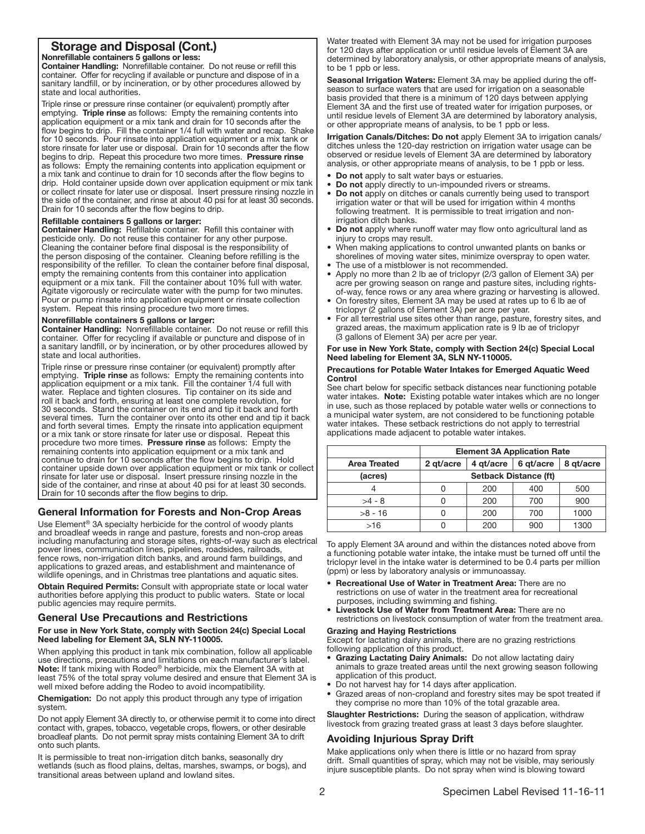# Storage and Disposal (Cont.)

## Nonrefillable containers 5 gallons or less:

Container Handling: Nonrefillable container. Do not reuse or refill this container. Offer for recycling if available or puncture and dispose of in a sanitary landfill, or by incineration, or by other procedures allowed by state and local authorities.

Triple rinse or pressure rinse container (or equivalent) promptly after emptying. Triple rinse as follows: Empty the remaining contents into application equipment or a mix tank and drain for 10 seconds after the flow begins to drip. Fill the container 1/4 full with water and recap. Shake for 10 seconds. Pour rinsate into application equipment or a mix tank or store rinsate for later use or disposal. Drain for 10 seconds after the flow begins to drip. Repeat this procedure two more times. Pressure rinse as follows: Empty the remaining contents into application equipment or a mix tank and continue to drain for 10 seconds after the flow begins to drip. Hold container upside down over application equipment or mix tank or collect rinsate for later use or disposal. Insert pressure rinsing nozzle in the side of the container, and rinse at about 40 psi for at least 30 seconds. Drain for 10 seconds after the flow begins to drip.

### Refillable containers 5 gallons or larger:

Container Handling: Refillable container. Refill this container with pesticide only. Do not reuse this container for any other purpose. Cleaning the container before final disposal is the responsibility of the person disposing of the container. Cleaning before refilling is the responsibility of the refiller. To clean the container before final disposal, empty the remaining contents from this container into application equipment or a mix tank. Fill the container about 10% full with water. Agitate vigorously or recirculate water with the pump for two minutes. Pour or pump rinsate into application equipment or rinsate collection system. Repeat this rinsing procedure two more times.

## Nonrefillable containers 5 gallons or larger:

Container Handling: Nonrefillable container. Do not reuse or refill this container. Offer for recycling if available or puncture and dispose of in a sanitary landfill, or by incineration, or by other procedures allowed by state and local authorities.

Triple rinse or pressure rinse container (or equivalent) promptly after emptying. Triple rinse as follows: Empty the remaining contents into application equipment or a mix tank. Fill the container 1/4 full with water. Replace and tighten closures. Tip container on its side and roll it back and forth, ensuring at least one complete revolution, for 30 seconds. Stand the container on its end and tip it back and forth several times. Turn the container over onto its other end and tip it back and forth several times. Empty the rinsate into application equipment or a mix tank or store rinsate for later use or disposal. Repeat this procedure two more times. Pressure rinse as follows: Empty the remaining contents into application equipment or a mix tank and continue to drain for 10 seconds after the flow begins to drip. Hold container upside down over application equipment or mix tank or collect rinsate for later use or disposal. Insert pressure rinsing nozzle in the side of the container, and rinse at about 40 psi for at least 30 seconds. Drain for 10 seconds after the flow begins to drip.

#### ֞ General Information for Forests and Non-Crop Areas

Use Element® 3A specialty herbicide for the control of woody plants and broadleaf weeds in range and pasture, forests and non-crop areas including manufacturing and storage sites, rights-of-way such as electrical power lines, communication lines, pipelines, roadsides, railroads, fence rows, non-irrigation ditch banks, and around farm buildings, and applications to grazed areas, and establishment and maintenance of wildlife openings, and in Christmas tree plantations and aquatic sites.

Obtain Required Permits: Consult with appropriate state or local water authorities before applying this product to public waters. State or local public agencies may require permits.

# General Use Precautions and Restrictions

## For use in New York State, comply with Section 24(c) Special Local Need labeling for Element 3A, SLN NY-110005.

When applying this product in tank mix combination, follow all applicable use directions, precautions and limitations on each manufacturer's label. Note: If tank mixing with Rodeo® herbicide, mix the Element 3A with at least 75% of the total spray volume desired and ensure that Element 3A is well mixed before adding the Rodeo to avoid incompatibility.

Chemigation: Do not apply this product through any type of irrigation system.

Do not apply Element 3A directly to, or otherwise permit it to come into direct contact with, grapes, tobacco, vegetable crops, flowers, or other desirable broadleaf plants. Do not permit spray mists containing Element 3A to drift onto such plants.

It is permissible to treat non-irrigation ditch banks, seasonally dry wetlands (such as flood plains, deltas, marshes, swamps, or bogs), and transitional areas between upland and lowland sites.

Water treated with Element 3A may not be used for irrigation purposes for 120 days after application or until residue levels of Element 3A are determined by laboratory analysis, or other appropriate means of analysis, to be 1 ppb or less.

Seasonal Irrigation Waters: Element 3A may be applied during the offseason to surface waters that are used for irrigation on a seasonable basis provided that there is a minimum of 120 days between applying Element 3A and the first use of treated water for irrigation purposes, or until residue levels of Element 3A are determined by laboratory analysis, or other appropriate means of analysis, to be 1 ppb or less.

Irrigation Canals/Ditches: Do not apply Element 3A to irrigation canals/ ditches unless the 120-day restriction on irrigation water usage can be observed or residue levels of Element 3A are determined by laboratory analysis, or other appropriate means of analysis, to be 1 ppb or less.

- Do not apply to salt water bays or estuaries.
- Do not apply directly to un-impounded rivers or streams.
- Do not apply on ditches or canals currently being used to transport irrigation water or that will be used for irrigation within 4 months following treatment. It is permissible to treat irrigation and nonirrigation ditch banks.
- Do not apply where runoff water may flow onto agricultural land as injury to crops may result.
- When making applications to control unwanted plants on banks or shorelines of moving water sites, minimize overspray to open water.
- The use of a mistblower is not recommended.
- Apply no more than 2 lb ae of triclopyr (2/3 gallon of Element 3A) per acre per growing season on range and pasture sites, including rightsof-way, fence rows or any area where grazing or harvesting is allowed.
- On forestry sites, Element 3A may be used at rates up to 6 lb ae of triclopyr (2 gallons of Element 3A) per acre per year.
- For all terrestrial use sites other than range, pasture, forestry sites, and grazed areas, the maximum application rate is 9 lb ae of triclopyr (3 gallons of Element 3A) per acre per year.

## For use in New York State, comply with Section 24(c) Special Local Need labeling for Element 3A, SLN NY-110005.

#### Precautions for Potable Water Intakes for Emerged Aquatic Weed Control

See chart below for specific setback distances near functioning potable water intakes. Note: Existing potable water intakes which are no longer in use, such as those replaced by potable water wells or connections to a municipal water system, are not considered to be functioning potable water intakes. These setback restrictions do not apply to terrestrial applications made adjacent to potable water intakes.

| <b>Element 3A Application Rate</b> |           |           |           |
|------------------------------------|-----------|-----------|-----------|
| 2 gt/acre                          | 4 gt/acre | 6 gt/acre | 8 gt/acre |
| <b>Setback Distance (ft)</b>       |           |           |           |
|                                    | 200       | 400       | 500       |
|                                    | 200       | 700       | 900       |
|                                    | 200       | 700       | 1000      |
|                                    | 200       | 900       | 1300      |
|                                    |           |           |           |

Ī To apply Element 3A around and within the distances noted above from a functioning potable water intake, the intake must be turned off until the triclopyr level in the intake water is determined to be 0.4 parts per million (ppm) or less by laboratory analysis or immunoassay.

- Recreational Use of Water in Treatment Area: There are no restrictions on use of water in the treatment area for recreational purposes, including swimming and fishing.
- Livestock Use of Water from Treatment Area: There are no restrictions on livestock consumption of water from the treatment area.

## Grazing and Haying Restrictions

Except for lactating dairy animals, there are no grazing restrictions following application of this product.

- Grazing Lactating Dairy Animals: Do not allow lactating dairy animals to graze treated areas until the next growing season following application of this product.
- Do not harvest hay for 14 days after application.
- Grazed areas of non-cropland and forestry sites may be spot treated if they comprise no more than 10% of the total grazable area.

Slaughter Restrictions: During the season of application, withdraw livestock from grazing treated grass at least 3 days before slaughter.

# Avoiding Injurious Spray Drift

Make applications only when there is little or no hazard from spray drift. Small quantities of spray, which may not be visible, may seriously injure susceptible plants. Do not spray when wind is blowing toward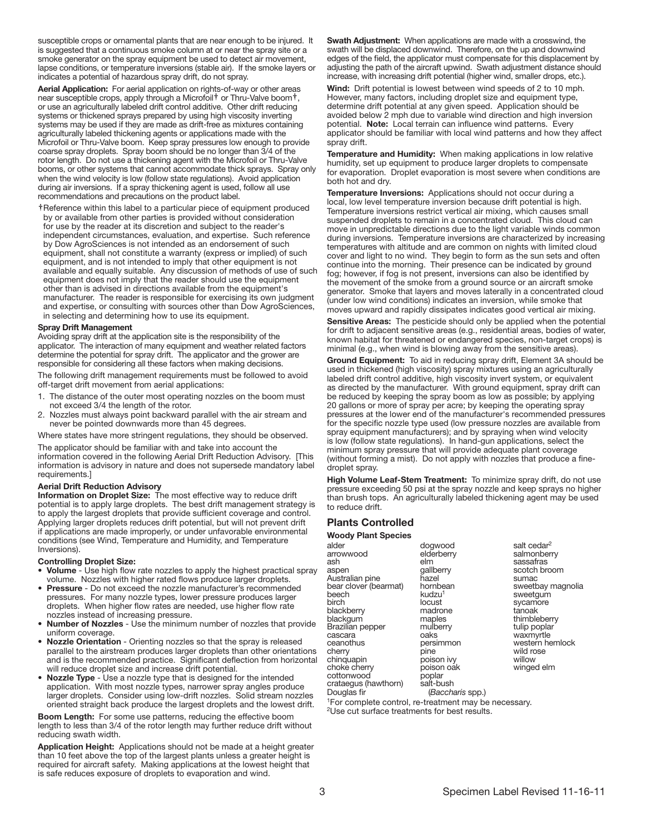susceptible crops or ornamental plants that are near enough to be injured. It is suggested that a continuous smoke column at or near the spray site or a smoke generator on the spray equipment be used to detect air movement, lapse conditions, or temperature inversions (stable air). If the smoke layers or indicates a potential of hazardous spray drift, do not spray.

Aerial Application: For aerial application on rights-of-way or other areas near susceptible crops, apply through a Microfoil**†** or Thru-Valve boom**†**, or use an agriculturally labeled drift control additive. Other drift reducing systems or thickened sprays prepared by using high viscosity inverting systems may be used if they are made as drift-free as mixtures containing agriculturally labeled thickening agents or applications made with the Microfoil or Thru-Valve boom. Keep spray pressures low enough to provide coarse spray droplets. Spray boom should be no longer than 3/4 of the rotor length. Do not use a thickening agent with the Microfoil or Thru-Valve booms, or other systems that cannot accommodate thick sprays. Spray only when the wind velocity is low (follow state regulations). Avoid application during air inversions. If a spray thickening agent is used, follow all use recommendations and precautions on the product label.

**†** Reference within this label to a particular piece of equipment produced by or available from other parties is provided without consideration for use by the reader at its discretion and subject to the reader's independent circumstances, evaluation, and expertise. Such reference by Dow AgroSciences is not intended as an endorsement of such equipment, shall not constitute a warranty (express or implied) of such equipment, and is not intended to imply that other equipment is not available and equally suitable. Any discussion of methods of use of such equipment does not imply that the reader should use the equipment other than is advised in directions available from the equipment's manufacturer. The reader is responsible for exercising its own judgment and expertise, or consulting with sources other than Dow AgroSciences, in selecting and determining how to use its equipment.

#### Spray Drift Management

Avoiding spray drift at the application site is the responsibility of the applicator. The interaction of many equipment and weather related factors determine the potential for spray drift. The applicator and the grower are responsible for considering all these factors when making decisions.

The following drift management requirements must be followed to avoid off-target drift movement from aerial applications:

- 1. The distance of the outer most operating nozzles on the boom must not exceed 3/4 the length of the rotor.
- 2. Nozzles must always point backward parallel with the air stream and never be pointed downwards more than 45 degrees.

Where states have more stringent regulations, they should be observed.

The applicator should be familiar with and take into account the information covered in the following Aerial Drift Reduction Advisory. [This information is advisory in nature and does not supersede mandatory label requirements.]

#### Aerial Drift Reduction Advisory

Information on Droplet Size: The most effective way to reduce drift potential is to apply large droplets. The best drift management strategy is to apply the largest droplets that provide sufficient coverage and control. Applying larger droplets reduces drift potential, but will not prevent drift if applications are made improperly, or under unfavorable environmental conditions (see Wind, Temperature and Humidity, and Temperature Inversions).

#### Controlling Droplet Size:

- Volume Use high flow rate nozzles to apply the highest practical spray volume. Nozzles with higher rated flows produce larger droplets.
- Pressure Do not exceed the nozzle manufacturer's recommended pressures. For many nozzle types, lower pressure produces larger droplets. When higher flow rates are needed, use higher flow rate nozzles instead of increasing pressure.
- Number of Nozzles Use the minimum number of nozzles that provide uniform coverage.
- Nozzle Orientation Orienting nozzles so that the spray is released parallel to the airstream produces larger droplets than other orientations and is the recommended practice. Significant deflection from horizontal will reduce droplet size and increase drift potential.
- Nozzle Type Use a nozzle type that is designed for the intended application. With most nozzle types, narrower spray angles produce larger droplets. Consider using low-drift nozzles. Solid stream nozzles oriented straight back produce the largest droplets and the lowest drift.

Boom Length: For some use patterns, reducing the effective boom length to less than 3/4 of the rotor length may further reduce drift without reducing swath width.

Application Height: Applications should not be made at a height greater than 10 feet above the top of the largest plants unless a greater height is required for aircraft safety. Making applications at the lowest height that is safe reduces exposure of droplets to evaporation and wind.

Swath Adjustment: When applications are made with a crosswind, the swath will be displaced downwind. Therefore, on the up and downwind edges of the field, the applicator must compensate for this displacement by adjusting the path of the aircraft upwind. Swath adjustment distance should increase, with increasing drift potential (higher wind, smaller drops, etc.).

Wind: Drift potential is lowest between wind speeds of 2 to 10 mph. However, many factors, including droplet size and equipment type, determine drift potential at any given speed. Application should be avoided below 2 mph due to variable wind direction and high inversion potential. Note: Local terrain can influence wind patterns. Every applicator should be familiar with local wind patterns and how they affect spray drift.

Temperature and Humidity: When making applications in low relative humidity, set up equipment to produce larger droplets to compensate for evaporation. Droplet evaporation is most severe when conditions are both hot and dry.

Temperature Inversions: Applications should not occur during a local, low level temperature inversion because drift potential is high. Temperature inversions restrict vertical air mixing, which causes small suspended droplets to remain in a concentrated cloud. This cloud can move in unpredictable directions due to the light variable winds common during inversions. Temperature inversions are characterized by increasing temperatures with altitude and are common on nights with limited cloud cover and light to no wind. They begin to form as the sun sets and often continue into the morning. Their presence can be indicated by ground fog; however, if fog is not present, inversions can also be identified by the movement of the smoke from a ground source or an aircraft smoke generator. Smoke that layers and moves laterally in a concentrated cloud (under low wind conditions) indicates an inversion, while smoke that moves upward and rapidly dissipates indicates good vertical air mixing.

Sensitive Areas: The pesticide should only be applied when the potential for drift to adjacent sensitive areas (e.g., residential areas, bodies of water, known habitat for threatened or endangered species, non-target crops) is minimal (e.g., when wind is blowing away from the sensitive areas).

Ground Equipment: To aid in reducing spray drift, Element 3A should be used in thickened (high viscosity) spray mixtures using an agriculturally labeled drift control additive, high viscosity invert system, or equivalent as directed by the manufacturer. With ground equipment, spray drift can be reduced by keeping the spray boom as low as possible; by applying 20 gallons or more of spray per acre; by keeping the operating spray pressures at the lower end of the manufacturer's recommended pressures for the specific nozzle type used (low pressure nozzles are available from spray equipment manufacturers); and by spraying when wind velocity is low (follow state regulations). In hand-gun applications, select the minimum spray pressure that will provide adequate plant coverage (without forming a mist). Do not apply with nozzles that produce a finedroplet spray.

High Volume Leaf-Stem Treatment: To minimize spray drift, do not use pressure exceeding 50 psi at the spray nozzle and keep sprays no higher than brush tops. An agriculturally labeled thickening agent may be used to reduce drift.

## Plants Controlled

Woody Plant Species

| alder                 | dogwood                                                                       | salt cedar <sup>2</sup> |
|-----------------------|-------------------------------------------------------------------------------|-------------------------|
| arrowwood             | elderberry                                                                    | salmonberry             |
| ash                   | elm                                                                           | sassafras               |
| aspen                 | gallberry                                                                     | scotch broom            |
| Australian pine       | hazel                                                                         | sumac                   |
| bear clover (bearmat) | hornbean                                                                      | sweetbay magnolia       |
| beech                 | kudzu <sup>1</sup>                                                            | sweetgum                |
| birch                 | locust                                                                        | sycamore                |
| blackberry            | madrone                                                                       | tanoak                  |
| blackgum              | maples                                                                        | thimbleberry            |
| Brazilian pepper      | mulberry                                                                      | tulip poplar            |
| cascara               | oaks                                                                          | waxmyrtle               |
| ceanothus             | persimmon                                                                     | western hemlock         |
| cherry                | pine                                                                          | wild rose               |
| chinquapin            | poison ivy                                                                    | willow                  |
| choke cherry          | poison oak                                                                    | winged elm              |
| cottonwood            | poplar                                                                        |                         |
| crataegus (hawthorn)  | salt-bush                                                                     |                         |
| Douglas fir           | (Baccharis spp.)                                                              |                         |
|                       | $1\text{E}$ ar aamplata aantral, ra $\frac{1}{2}$ traatmant may be neegaagay. |                         |

or complete control, re-treatment may be necessary. 2Use cut surface treatments for best results.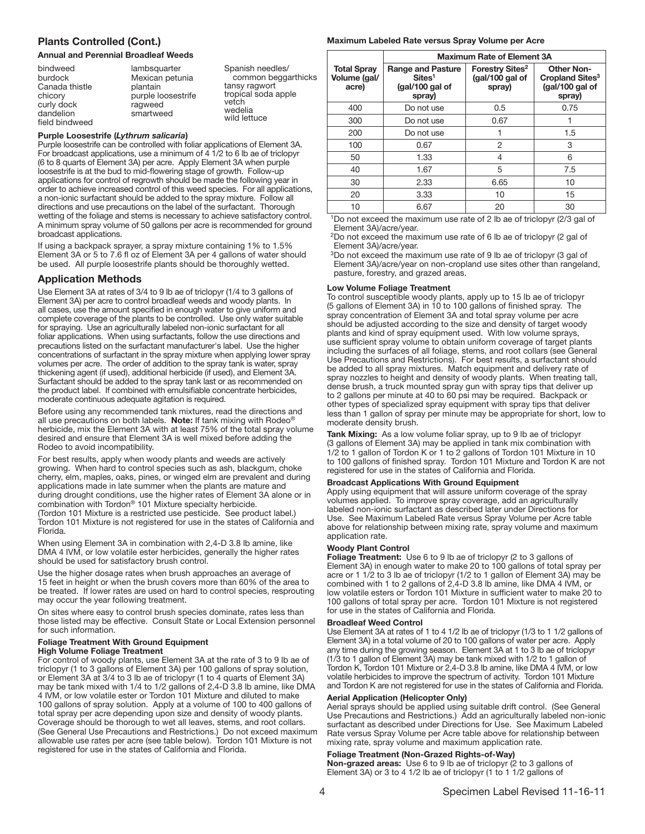## Plants Controlled (Cont.)

#### Annual and Perennial Broadleaf Weeds

| vetch<br>curly dock<br>ragweed<br>wedelia<br>dandelion<br>smartweed<br>wild lettuce<br>field bindweed |
|-------------------------------------------------------------------------------------------------------|
|-------------------------------------------------------------------------------------------------------|

#### Purple Loosestrife (*Lythrum salicaria*)

Purple loosestrife can be controlled with foliar applications of Element 3A. For broadcast applications, use a minimum of 4 1/2 to 6 lb ae of triclopyr (6 to 8 quarts of Element 3A) per acre. Apply Element 3A when purple loosestrife is at the bud to mid-flowering stage of growth. Follow-up applications for control of regrowth should be made the following year in order to achieve increased control of this weed species. For all applications, a non-ionic surfactant should be added to the spray mixture. Follow all directions and use precautions on the label of the surfactant. Thorough wetting of the foliage and stems is necessary to achieve satisfactory control. A minimum spray volume of 50 gallons per acre is recommended for ground broadcast applications.

If using a backpack sprayer, a spray mixture containing 1% to 1.5% Element 3A or 5 to 7.6 fl oz of Element 3A per 4 gallons of water should be used. All purple loosestrife plants should be thoroughly wetted.

## Application Methods

Use Element 3A at rates of 3/4 to 9 lb ae of triclopyr (1/4 to 3 gallons of Element 3A) per acre to control broadleaf weeds and woody plants. In all cases, use the amount specified in enough water to give uniform and complete coverage of the plants to be controlled. Use only water suitable for spraying. Use an agriculturally labeled non-ionic surfactant for all foliar applications. When using surfactants, follow the use directions and precautions listed on the surfactant manufacturer's label. Use the higher concentrations of surfactant in the spray mixture when applying lower spray volumes per acre. The order of addition to the spray tank is water, spray thickening agent (if used), additional herbicide (if used), and Element 3A. Surfactant should be added to the spray tank last or as recommended on the product label. If combined with emulsifiable concentrate herbicides, moderate continuous adequate agitation is required.

Before using any recommended tank mixtures, read the directions and all use precautions on both labels. Note: If tank mixing with Rodeo® herbicide, mix the Element 3A with at least 75% of the total spray volume desired and ensure that Element 3A is well mixed before adding the Rodeo to avoid incompatibility.

For best results, apply when woody plants and weeds are actively growing. When hard to control species such as ash, blackgum, choke cherry, elm, maples, oaks, pines, or winged elm are prevalent and during applications made in late summer when the plants are mature and during drought conditions, use the higher rates of Element 3A alone or in combination with Tordon® 101 Mixture specialty herbicide. (Tordon 101 Mixture is a restricted use pesticide. See product label.) Tordon 101 Mixture is not registered for use in the states of California and

Florida. When using Element 3A in combination with 2,4-D 3.8 lb amine, like DMA 4 IVM, or low volatile ester herbicides, generally the higher rates should be used for satisfactory brush control.

Use the higher dosage rates when brush approaches an average of 15 feet in height or when the brush covers more than 60% of the area to be treated. If lower rates are used on hard to control species, resprouting may occur the year following treatment.

On sites where easy to control brush species dominate, rates less than those listed may be effective. Consult State or Local Extension personnel for such information.

#### Foliage Treatment With Ground Equipment High Volume Foliage Treatment

For control of woody plants, use Element 3A at the rate of 3 to 9 lb ae of triclopyr (1 to 3 gallons of Element 3A) per 100 gallons of spray solution, or Element 3A at 3/4 to 3 lb ae of triclopyr (1 to 4 quarts of Element 3A) may be tank mixed with 1/4 to 1/2 gallons of 2,4-D 3.8 lb amine, like DMA 4 IVM, or low volatile ester or Tordon 101 Mixture and diluted to make 100 gallons of spray solution. Apply at a volume of 100 to 400 gallons of total spray per acre depending upon size and density of woody plants. Coverage should be thorough to wet all leaves, stems, and root collars. (See General Use Precautions and Restrictions.) Do not exceed maximum allowable use rates per acre (see table below). Tordon 101 Mixture is not registered for use in the states of California and Florida.

#### Maximum Labeled Rate versus Spray Volume per Acre

|                                             | <b>Maximum Rate of Element 3A</b>                                           |                                                          |                                                                               |
|---------------------------------------------|-----------------------------------------------------------------------------|----------------------------------------------------------|-------------------------------------------------------------------------------|
| <b>Total Spray</b><br>Volume (gal/<br>acre) | <b>Range and Pasture</b><br>Sites <sup>1</sup><br>(gal/100 gal of<br>spray) | Forestry Sites <sup>2</sup><br>(gal/100 gal of<br>spray) | <b>Other Non-</b><br>Cropland Sites <sup>3</sup><br>(gal/100 gal of<br>spray) |
| 400                                         | Do not use                                                                  | 0.5                                                      | 0.75                                                                          |
| 300                                         | Do not use                                                                  | 0.67                                                     |                                                                               |
| 200                                         | Do not use                                                                  | 1                                                        | 1.5                                                                           |
| 100                                         | 0.67                                                                        | 2                                                        | 3                                                                             |
| 50                                          | 1.33                                                                        | 4                                                        | 6                                                                             |
| 40                                          | 1.67                                                                        | 5                                                        | 7.5                                                                           |
| 30                                          | 2.33                                                                        | 6.65                                                     | 10                                                                            |
| 20                                          | 3.33                                                                        | 10                                                       | 15                                                                            |
| 10                                          | 6.67                                                                        | 20                                                       | 30                                                                            |

<sup>1</sup>Do not exceed the maximum use rate of 2 lb ae of triclopyr (2/3 gal of Element 3A)/acre/year.

<sup>2</sup>Do not exceed the maximum use rate of 6 lb ae of triclopyr (2 gal of Element 3A)/acre/year.

<sup>3</sup>Do not exceed the maximum use rate of 9 lb ae of triclopyr (3 gal of Element 3A)/acre/year on non-cropland use sites other than rangeland, pasture, forestry, and grazed areas.

#### Low Volume Foliage Treatment

To control susceptible woody plants, apply up to 15 lb ae of triclopyr (5 gallons of Element 3A) in 10 to 100 gallons of finished spray. The spray concentration of Element 3A and total spray volume per acre should be adjusted according to the size and density of target woody plants and kind of spray equipment used. With low volume sprays, use sufficient spray volume to obtain uniform coverage of target plants including the surfaces of all foliage, stems, and root collars (see General Use Precautions and Restrictions). For best results, a surfactant should be added to all spray mixtures. Match equipment and delivery rate of spray nozzles to height and density of woody plants. When treating tall, dense brush, a truck mounted spray gun with spray tips that deliver up to 2 gallons per minute at 40 to 60 psi may be required. Backpack or other types of specialized spray equipment with spray tips that deliver less than 1 gallon of spray per minute may be appropriate for short, low to moderate density brush.

Tank Mixing: As a low volume foliar spray, up to 9 lb ae of triclopyr (3 gallons of Element 3A) may be applied in tank mix combination with 1/2 to 1 gallon of Tordon K or 1 to 2 gallons of Tordon 101 Mixture in 10 to 100 gallons of finished spray. Tordon 101 Mixture and Tordon K are not registered for use in the states of California and Florida.

#### Broadcast Applications With Ground Equipment

Apply using equipment that will assure uniform coverage of the spray volumes applied. To improve spray coverage, add an agriculturally labeled non-ionic surfactant as described later under Directions for Use. See Maximum Labeled Rate versus Spray Volume per Acre table above for relationship between mixing rate, spray volume and maximum application rate.

## Woody Plant Control

Foliage Treatment: Use 6 to 9 lb ae of triclopyr (2 to 3 gallons of Element 3A) in enough water to make 20 to 100 gallons of total spray per acre or 1 1/2 to 3 lb ae of triclopyr (1/2 to 1 gallon of Element 3A) may be combined with 1 to 2 gallons of 2,4-D 3.8 lb amine, like DMA 4 IVM, or low volatile esters or Tordon 101 Mixture in sufficient water to make 20 to 100 gallons of total spray per acre. Tordon 101 Mixture is not registered for use in the states of California and Florida.

#### Broadleaf Weed Control

Use Element 3A at rates of 1 to 4 1/2 lb ae of triclopyr (1/3 to 1 1/2 gallons of Element 3A) in a total volume of 20 to 100 gallons of water per acre. Apply any time during the growing season. Element 3A at 1 to 3 lb ae of triclopyr (1/3 to 1 gallon of Element 3A) may be tank mixed with 1/2 to 1 gallon of Tordon K, Tordon 101 Mixture or 2,4-D 3.8 lb amine, like DMA 4 IVM, or low volatile herbicides to improve the spectrum of activity. Tordon 101 Mixture and Tordon K are not registered for use in the states of California and Florida.

#### Aerial Application (Helicopter Only)

Aerial sprays should be applied using suitable drift control. (See General Use Precautions and Restrictions.) Add an agriculturally labeled non-ionic surfactant as described under Directions for Use. See Maximum Labeled Rate versus Spray Volume per Acre table above for relationship between mixing rate, spray volume and maximum application rate.

#### Foliage Treatment (Non-Grazed Rights-of-Way)

Non-grazed areas: Use 6 to 9 lb ae of triclopyr (2 to 3 gallons of Element 3A) or 3 to 4 1/2 lb ae of triclopyr (1 to 1 1/2 gallons of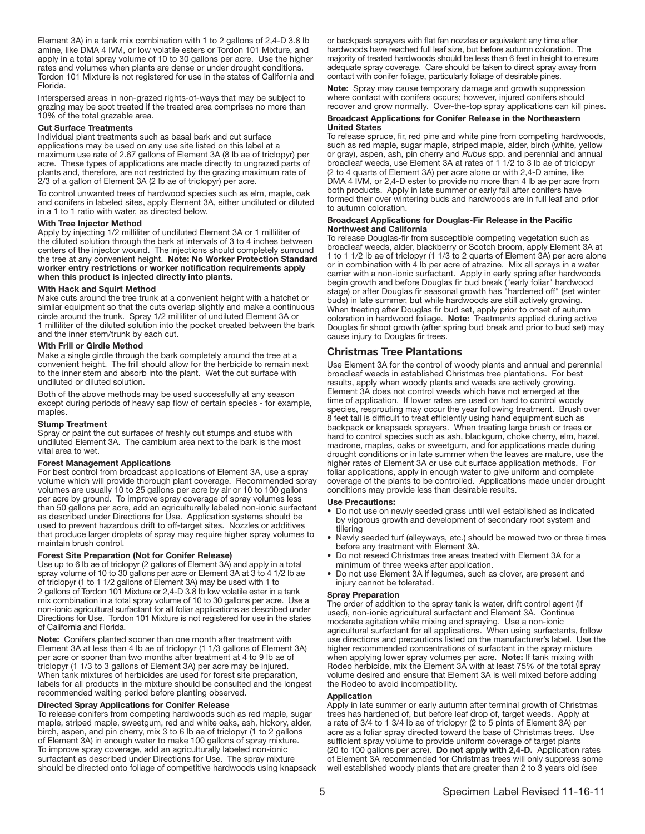Element 3A) in a tank mix combination with 1 to 2 gallons of 2,4-D 3.8 lb amine, like DMA 4 IVM, or low volatile esters or Tordon 101 Mixture, and apply in a total spray volume of 10 to 30 gallons per acre. Use the higher rates and volumes when plants are dense or under drought conditions. Tordon 101 Mixture is not registered for use in the states of California and Florida.

Interspersed areas in non-grazed rights-of-ways that may be subject to grazing may be spot treated if the treated area comprises no more than 10% of the total grazable area.

#### Cut Surface Treatments

Individual plant treatments such as basal bark and cut surface applications may be used on any use site listed on this label at a maximum use rate of 2.67 gallons of Element 3A (8 lb ae of triclopyr) per acre. These types of applications are made directly to ungrazed parts of plants and, therefore, are not restricted by the grazing maximum rate of 2/3 of a gallon of Element 3A (2 lb ae of triclopyr) per acre.

To control unwanted trees of hardwood species such as elm, maple, oak and conifers in labeled sites, apply Element 3A, either undiluted or diluted in a 1 to 1 ratio with water, as directed below.

#### With Tree Injector Method

Apply by injecting 1/2 milliliter of undiluted Element 3A or 1 milliliter of the diluted solution through the bark at intervals of 3 to 4 inches between centers of the injector wound. The injections should completely surround the tree at any convenient height. Note: No Worker Protection Standard worker entry restrictions or worker notification requirements apply when this product is injected directly into plants.

#### With Hack and Squirt Method

Make cuts around the tree trunk at a convenient height with a hatchet or similar equipment so that the cuts overlap slightly and make a continuous circle around the trunk. Spray 1/2 milliliter of undiluted Element 3A or 1 milliliter of the diluted solution into the pocket created between the bark and the inner stem/trunk by each cut.

#### With Frill or Girdle Method

Make a single girdle through the bark completely around the tree at a convenient height. The frill should allow for the herbicide to remain next to the inner stem and absorb into the plant. Wet the cut surface with undiluted or diluted solution.

Both of the above methods may be used successfully at any season except during periods of heavy sap flow of certain species - for example, maples.

#### Stump Treatment

Spray or paint the cut surfaces of freshly cut stumps and stubs with undiluted Element 3A. The cambium area next to the bark is the most vital area to wet.

#### Forest Management Applications

For best control from broadcast applications of Element 3A, use a spray volume which will provide thorough plant coverage. Recommended spray volumes are usually 10 to 25 gallons per acre by air or 10 to 100 gallons per acre by ground. To improve spray coverage of spray volumes less than 50 gallons per acre, add an agriculturally labeled non-ionic surfactant as described under Directions for Use. Application systems should be used to prevent hazardous drift to off-target sites. Nozzles or additives that produce larger droplets of spray may require higher spray volumes to maintain brush control.

#### Forest Site Preparation (Not for Conifer Release)

Use up to 6 lb ae of triclopyr (2 gallons of Element 3A) and apply in a total spray volume of 10 to 30 gallons per acre or Element 3A at 3 to 4 1/2 lb ae of triclopyr (1 to 1 1/2 gallons of Element 3A) may be used with 1 to 2 gallons of Tordon 101 Mixture or 2,4-D 3.8 lb low volatile ester in a tank mix combination in a total spray volume of 10 to 30 gallons per acre. Use a non-ionic agricultural surfactant for all foliar applications as described under Directions for Use. Tordon 101 Mixture is not registered for use in the states of California and Florida.

Note: Conifers planted sooner than one month after treatment with Element 3A at less than 4 lb ae of triclopyr (1 1/3 gallons of Element 3A) per acre or sooner than two months after treatment at 4 to 9 lb ae of triclopyr (1 1/3 to 3 gallons of Element 3A) per acre may be injured. When tank mixtures of herbicides are used for forest site preparation, labels for all products in the mixture should be consulted and the longest recommended waiting period before planting observed.

#### Directed Spray Applications for Conifer Release

To release conifers from competing hardwoods such as red maple, sugar maple, striped maple, sweetgum, red and white oaks, ash, hickory, alder, birch, aspen, and pin cherry, mix 3 to 6 lb ae of triclopyr (1 to 2 gallons of Element 3A) in enough water to make 100 gallons of spray mixture. To improve spray coverage, add an agriculturally labeled non-ionic surfactant as described under Directions for Use. The spray mixture should be directed onto foliage of competitive hardwoods using knapsack or backpack sprayers with flat fan nozzles or equivalent any time after hardwoods have reached full leaf size, but before autumn coloration. The majority of treated hardwoods should be less than 6 feet in height to ensure adequate spray coverage. Care should be taken to direct spray away from contact with conifer foliage, particularly foliage of desirable pines.

Note: Spray may cause temporary damage and growth suppression where contact with conifers occurs; however, injured conifers should recover and grow normally. Over-the-top spray applications can kill pines.

#### Broadcast Applications for Conifer Release in the Northeastern United States

To release spruce, fir, red pine and white pine from competing hardwoods, such as red maple, sugar maple, striped maple, alder, birch (white, yellow or gray), aspen, ash, pin cherry and *Rubus* spp. and perennial and annual broadleaf weeds, use Element 3A at rates of 1 1/2 to 3 lb ae of triclopyr (2 to 4 quarts of Element 3A) per acre alone or with 2,4-D amine, like DMA 4 IVM, or 2,4-D ester to provide no more than 4 lb ae per acre from both products. Apply in late summer or early fall after conifers have formed their over wintering buds and hardwoods are in full leaf and prior to autumn coloration.

#### Broadcast Applications for Douglas-Fir Release in the Pacific Northwest and California

To release Douglas-fir from susceptible competing vegetation such as broadleaf weeds, alder, blackberry or Scotch broom, apply Element 3A at 1 to 1 1/2 lb ae of triclopyr (1 1/3 to 2 quarts of Element 3A) per acre alone or in combination with 4 lb per acre of atrazine. Mix all sprays in a water carrier with a non-ionic surfactant. Apply in early spring after hardwoods begin growth and before Douglas fir bud break ("early foliar" hardwood stage) or after Douglas fir seasonal growth has "hardened off" (set winter buds) in late summer, but while hardwoods are still actively growing. When treating after Douglas fir bud set, apply prior to onset of autumn coloration in hardwood foliage. Note: Treatments applied during active Douglas fir shoot growth (after spring bud break and prior to bud set) may cause injury to Douglas fir trees.

## Christmas Tree Plantations

Use Element 3A for the control of woody plants and annual and perennial broadleaf weeds in established Christmas tree plantations. For best results, apply when woody plants and weeds are actively growing. Element 3A does not control weeds which have not emerged at the time of application. If lower rates are used on hard to control woody species, resprouting may occur the year following treatment. Brush over 8 feet tall is difficult to treat efficiently using hand equipment such as backpack or knapsack sprayers. When treating large brush or trees or hard to control species such as ash, blackgum, choke cherry, elm, hazel, madrone, maples, oaks or sweetgum, and for applications made during drought conditions or in late summer when the leaves are mature, use the higher rates of Element 3A or use cut surface application methods. For foliar applications, apply in enough water to give uniform and complete coverage of the plants to be controlled. Applications made under drought conditions may provide less than desirable results.

#### Use Precautions:

- Do not use on newly seeded grass until well established as indicated by vigorous growth and development of secondary root system and tillering
- Newly seeded turf (alleyways, etc.) should be mowed two or three times before any treatment with Element 3A.
- Do not reseed Christmas tree areas treated with Element 3A for a minimum of three weeks after application.
- Do not use Element 3A if legumes, such as clover, are present and injury cannot be tolerated.

#### Spray Preparation

The order of addition to the spray tank is water, drift control agent (if used), non-ionic agricultural surfactant and Element 3A. Continue moderate agitation while mixing and spraying. Use a non-ionic agricultural surfactant for all applications. When using surfactants, follow use directions and precautions listed on the manufacturer's label. Use the higher recommended concentrations of surfactant in the spray mixture when applying lower spray volumes per acre. Note: If tank mixing with Rodeo herbicide, mix the Element 3A with at least 75% of the total spray volume desired and ensure that Element 3A is well mixed before adding the Rodeo to avoid incompatibility.

#### **Application**

Apply in late summer or early autumn after terminal growth of Christmas trees has hardened of, but before leaf drop of, target weeds. Apply at a rate of 3/4 to 1 3/4 lb ae of triclopyr (2 to 5 pints of Element 3A) per acre as a foliar spray directed toward the base of Christmas trees. Use sufficient spray volume to provide uniform coverage of target plants (20 to 100 gallons per acre). Do not apply with 2,4-D. Application rates of Element 3A recommended for Christmas trees will only suppress some well established woody plants that are greater than 2 to 3 years old (see